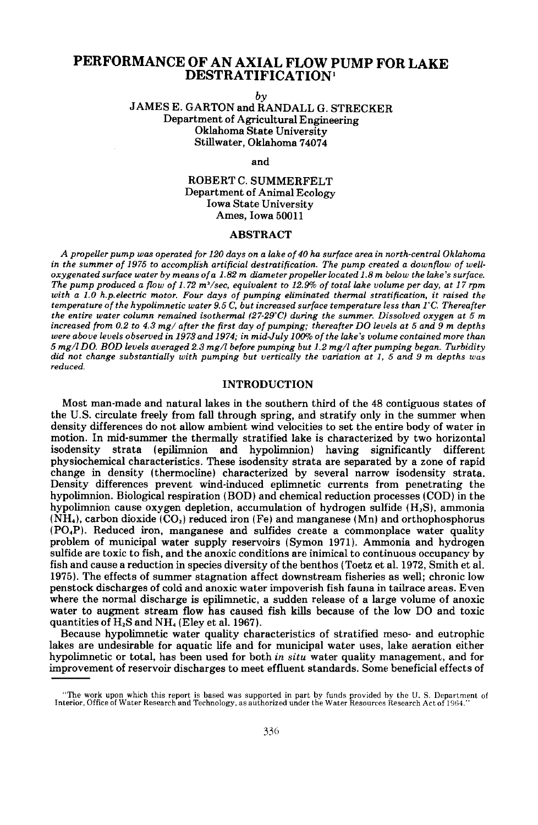# PERFORMANCE OF AN AXIAL FLOW PUMP FOR LAKE DESTRATIFICATION'

*by*

# JAMES E. GARTON and RANDALL G. STRECKER Department of Agricultural Engineering Oklahoma State University Stillwater, Oklahoma 74074

### and

# ROBERT C. SUMMERFELT Department of Animal Ecology Iowa State University Ames, Iowa 50011

# ABSTRACT

A propeller pump was operated for 120 days on a lake of 40 ha surface area in north-central Oklahoma *in the summer of* 1975 *to accomplish artificial destratification. The pump created a downf/ow of welloxygenated surface water by means ofa* 1.82 *m diameter propeller located* 1.8 *m below the lake's surface. The pump produced a flow of* 1. 72 *m'/sec, equivalent to* 12.9% *of total lake volume per day, at* 17 *rpm with a 1.0 h.p.electric motor. Four days of pumping eliminated thermal stratification, it raised the temperature* of the *hypolimnetic* water 9.5 *C*, but increased surface temperature less than 1°C. Thereafter *the entire water column remained isothermal (27-29'C) during the summer. Dissolved oxygen at* 5 *m* increased from 0.2 to 4.3 mg/ after the first day of pumping; thereafter DO levels at 5 and 9 m depths *were above levels observed in* 1973 *and* 1974; *in mid-July 100% ofthe lake's volume contained more than 5 mg/l DO. BOD levels averaged* 2.3 *mg/l before pumping but* 1.2 *mg/l after pumping began. Turbidity did not change substantially with pumping but vertically the variation at* 1, 5 *and* 9 *m depths was reduced.*

### INTRODUCTION

Most man-made and natural lakes in the southern third of the 48 contiguous states of the U.S. circulate freely from fall through spring, and stratify only in the summer when density differences do not allow ambient wind velocities to set the entire body of water in motion. In mid-summer the thermally stratified lake is characterized by two horizontal isodensity strata (epilimnion and hypolimnion) having significantly different physiochemical characteristics. These isodensity strata are separated by a zone of rapid change in density (thermocline) characterized by several narrow isodensity strata. Density differences prevent wind-induced eplimnetic currents from penetrating the hypolimnion. Biological respiration (BOD) and chemical reduction processes (COD) in the hypolimnion cause oxygen depletion, accumulation of hydrogen sulfide (H<sub>2</sub>S), ammonia  $(NH_4)$ , carbon dioxide  $(\overline{CO}_2)$  reduced iron (Fe) and manganese (Mn) and orthophosphorus (PO.P). Reduced iron, manganese and sulfides create a commonplace water quality problem of municipal water supply reservoirs (Symon 1971). Ammonia and hydrogen sulfide are toxic to fish, and the anoxic conditions are inimical to continuous occupancy by fish and cause a reduction in species diversity of the benthos (Toetz et a1. 1972, Smith et a1. 1975). The effects of summer stagnation affect downstream fisheries as well; chronic low penstock discharges of cold and anoxic water impoverish fish fauna in tailrace areas. Even where the normal discharge is epilimnetic, a sudden release of a large volume of anoxic water to augment stream flow has caused fish kills because of the low DO and toxic quantities of  $H_2S$  and  $NH_4$  (Eley et al. 1967).

Because hypolimnetic water quality characteristics of stratified meso- and eutrophic lakes are undesirable for aquatic life and for municipal water uses, lake aeration either hypolimnetic or total, has been used for both *in situ* water quality management, and for improvement of reservoir discharges to meet effluent standards. Some beneficial effects of

<sup>&</sup>quot;The work upon which this report is based was supported in part by funds provided by the U. S. Department of Interior, Office of Water Research and Technology, as authorized under the Water Resources Research Act of 19H4."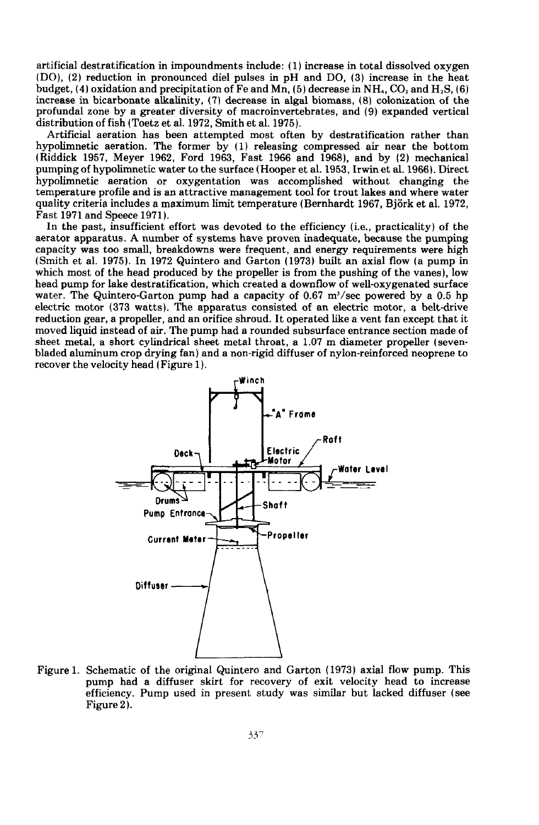artificial destratification in impoundments include: (1) increase in total dissolved oxygen (DO), (2) reduction in pronounced diel pulses in pH and DO, (3) increase in the heat budget, (4) oxidation and precipitation of Fe and Mn, (5) decrease in NH<sub>4</sub>, CO<sub>2</sub> and H<sub>2</sub>S, (6) increase in bicarbonate alkalinity, (7\ decrease in algal biomass, (8) colonization of the profundal zone by a greater diversity of macroinvertebrates, and (9) expanded vertical distribution of fish (Toetz et al. 1972, Smith et al. 1975).

Artificial aeration has been attempted most often by destratification rather than hypolimnetic aeration. The former by (1) releasing compressed air near the bottom (Riddick 1957, Meyer 1962, Ford 1963, Fast 1966 and 1968), and by (2) mechanical pumping of hypolimnetic water to the surface (Hooper et al. 1953, Irwin et al. 1966). Direct hypolimnetic aeration or oxygentation was accomplished without changing the temperature profile and is an attractive management tool for trout lakes and where water quality criteria includes a maximum limit temperature (Bernhardt 1967, Bjork et al. 1972, Fast 1971 and Speece 1971).

In the past, insufficient effort was devoted to the efficiency (i.e., practicality) of the aerator apparatus. A number of systems have proven inadequate, because the pumping capacity was too small, breakdowns were frequent, and energy requirements were high (Smith et al. 1975). In 1972 Quintero and Garton (1973) built an axial flow (a pump in which most of the head produced by the propeller is from the pushing of the vanes), low head pump for lake destratification, which created a downflow of well-oxygenated surface water. The Quintero-Garton pump had a capacity of  $0.67 \text{ m}^3/\text{sec}$  powered by a 0.5 hp electric motor (373 watts). The apparatus consisted of an electric motor, a belt-drive reduction gear, a propeller, and an orifice shroud. It operated like a vent fan except that it moved liquid instead of air. The pump had a rounded subsurface entrance section made of sheet metal, a short cylindrical sheet metal throat, a 1.07 m diameter propeller (sevenbladed aluminum crop drying fan) and a non-rigid diffuser of nylon-reinforced neoprene to recover the velocity head (Figure 1).



Figure 1. Schematic of the original Quintero and Garton (1973) axial flow pump. This pump had a diffuser skirt for recovery of exit velocity head to increase efficiency. Pump used in present study was similar but lacked diffuser (see Figure 2).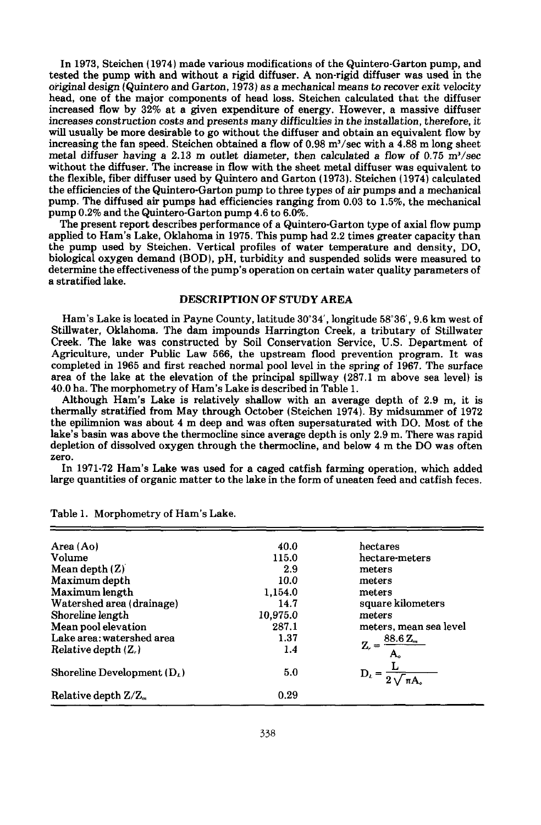In 1973, Steichen (1974) made various modifications of the Quintero-Garton pump, and tested the pump with and without a rigid diffuser. A non-rigid diffuser was used in the original design (Quintero and Garton, 1973) as a mechanical means to recover exit velocity head, one of the major components of head loss. Steichen calculated that the diffuser increased flow by 32% at a given expenditure of energy. However, a massive diffuser increases construction costs and presents many difficulties in the installation, therefore, it will usually be more desirable to go without the diffuser and obtain an equivalent flow by increasing the fan speed. Steichen obtained a flow of  $0.98 \text{ m}^3/\text{sec}$  with a 4.88 m long sheet metal diffuser having a 2.13 m outlet diameter, then calculated a flow of  $0.75 \text{ m}^3/\text{sec}$ without the diffuser. The increase in flow with the sheet metal diffuser was equivalent to the flexible, fiber diffuser used by Quintero and Garton (1973). Steichen (1974) calculated the efficiencies of the Quintero-Garton pump to three types of air pumps and a mechanical pump. The diffused air pumps had efficiencies ranging from 0.03 to 1.5%, the mechanical pump 0.2% and the Quintero-Garton pump 4.6 to 6.0%.

The present report describes performance of a Quintero-Garton type of axial flow pump applied to Ham's Lake, Oklahoma in 1975. This pump had 2.2 times greater capacity than the pump used by Steichen. Vertical profiles of water temperature and density, DO, biological oxygen demand (BOD), pH, turbidity and suspended solids were measured to determine the effectiveness of the pump's operation on certain water quality parameters of a stratified lake.

# DESCRIPTION OF STUDY AREA

Ham's Lake is located in Payne County, latitude 30°34', longitude 58°36', 9.6 km west of Stillwater, Oklahoma. The dam impounds Harrington Creek, a tributary of Stillwater Creek. The lake was constructed by Soil Conservation Service, U.S. Department of Agriculture, under Public Law 566, the upstream flood prevention program. It was completed in 1965 and first reached normal pool level in the spring of 1967. The surface area of the lake at the elevation of the principal spillway (287.1 m above sea level) is 40.0 ha. The morphometry of Ham's Lake is described in Table 1.

Although Ham's Lake is relatively shallow with an average depth of 2.9 m, it is thermally stratified from May through October (Steichen 1974). By midsummer of 1972 the epilimnion was about 4 m deep and was often supersaturated with DO. Most of the lake's basin was above the thermocline since average depth is only 2.9 m. There was rapid depletion of dissolved oxygen through the thermocline, and below 4 m the DO was often zero.

In 1971-72 Ham's Lake was used for a caged catfish farming operation, which added large quantities of organic matter to the lake in the form of uneaten feed and catfish feces.

| Area (Ao)                     | 40.0     | hectares                        |
|-------------------------------|----------|---------------------------------|
|                               |          |                                 |
| Volume                        | 115.0    | hectare-meters                  |
| Mean depth $(Z)$              | 2.9      | meters                          |
| Maximum depth                 | 10.0     | meters                          |
| Maximum length                | 1,154.0  | meters                          |
| Watershed area (drainage)     | 14.7     | square kilometers               |
| Shoreline length              | 10.975.0 | meters                          |
| Mean pool elevation           | 287.1    | meters, mean sea level          |
| Lake area: watershed area     | 1.37     | $88.6 Z_m$                      |
| Relative depth $(Z_{\ell})$   | 1.4      | $Z_{r} =$                       |
| Shoreline Development $(D_i)$ | 5.0      | $D_t = \frac{1}{2\sqrt{\pi A}}$ |
| Relative depth $Z/Z_m$        | 0.29     |                                 |

Table 1. Morphometry of Ham's Lake.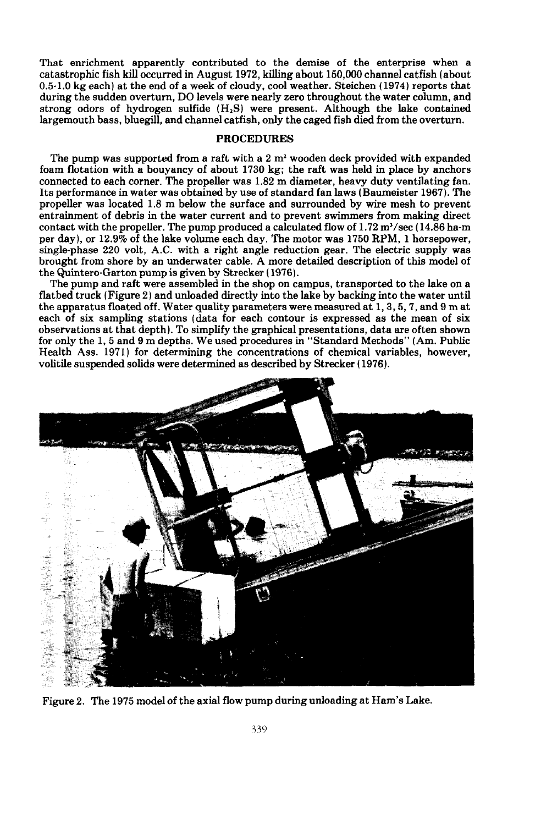That enrichment apparently contributed to the demise of the enterprise when a catastrophic fish kill occurred in August 1972, killing about 150,000 channel catfish (about 0.5-1.0 kg each) at the end of a week of cloudy, cool weather. Steichen (1974) reports that during the sudden overturn, DO levels were nearly zero throughout the water column, and strong odors of hydrogen sulfide  $(H_2S)$  were present. Although the lake contained largemouth bass, bluegill, and channel catfish, only the caged fish died from the overturn.

# PROCEDURES

The pump was supported from a raft with a  $2 \text{ m}^2$  wooden deck provided with expanded foam flotation with a bouyancy of about 1730 kg; the raft was held in place by anchors connected to each corner. The propeller was 1.82 m diameter, heavy duty ventilating fan. Its performance in water was obtained by use of standard fan laws (Baumeister 1967). The propeller was located 1.8 m below the surface and surrounded by wire mesh to prevent entrainment of debris in the water current and to prevent swimmers from making direct contact with the propeller. The pump produced a calculated flow of  $1.72 \text{ m}^3/\text{sec}$  (14.86 ha-m per day), or 12.9% of the lake volume each day. The motor was 1750 RPM, 1 horsepower, single-phase 220 volt, A.C. with a right angle reduction gear. The electric supply was brought from shore by an underwater cable. A more detailed description of this model of the Quintero-Garton pump is given by Strecker (1976).

The pump and raft were assembled in the shop on campus, transported to the lake on a flatbed truck (Figure 2) and unloaded directly into the lake by backing into the water until the apparatus floated off. Water quality parameters were measured at I, 3, 5, 7, and 9 m at each of six sampling stations (data for each contour is expressed as the mean of six observations at that depth). To simplify the graphical presentations, data are often shown for only the 1,5 and 9 m depths. We used procedures in "Standard Methods" (Am. Public Health Ass. 1971) for determining the concentrations of chemical variables, however, volitile suspended solids were determined as described by Strecker (1976).



Figure 2. The 1975 model of the axial flow pump during unloading at Ham's Lake.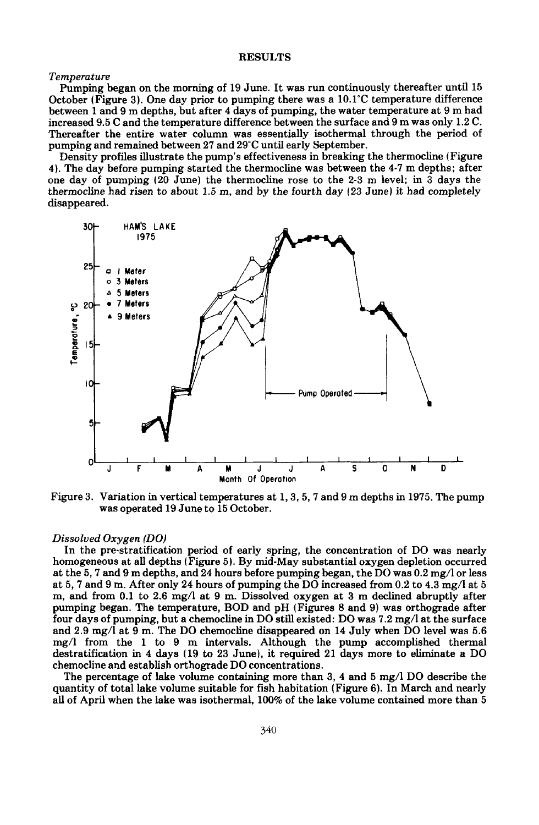#### RESULTS

#### *Temperature*

Pumping began on the morning of 19 June. It was run continuously thereafter until 15 October (Figure 3). One day prior to pumping there was a  $10.1^{\circ}$ C temperature difference between 1 and 9 m depths, but after 4 days of pumping, the water temperature at 9 m had increased 9.5 C and the temperature difference between the surface and 9 m was only 1.2 C. Thereafter the entire water column was essentially isothermal through the period of pumping and remained between 27 and 29°C until early September.

Density profiles illustrate the pump's effectiveness in breaking the thermocline (Figure 4). The day before pumping started the thermocline was between the 4-7 m depths; after one day of pumping (20 June) the thermocline rose to the 2-3 m level; in 3 days the thermocline had risen to about 1.5 m, and by the fourth day (23 June) it had completely disappeared.



Figure 3. Variation in vertical temperatures at 1,3,5,7 and 9 m depths in 1975. The pump was operated 19 June to 15 October.

### *Dissolved Oxygen (DO)*

In the pre-stratification period of early spring, the concentration of DO was nearly homogeneous at all depths (Figure 5). By mid-May substantial oxygen depletion occurred at the 5, 7 and 9 m depths, and 24 hours before pumping began, the DO was 0.2 mg/l or less at 5, 7 and 9 m. After only 24 hours of pumping the DO increased from 0.2 to 4.3 mg/l at 5 m, and from 0.1 to 2.6 mg/l at 9 m. Dissolved oxygen at 3 m declined abruptly after pumping began. The temperature, BOD and pH (Figures 8 and 9) was orthograde after four days of pumping, but a chemocline in DO still existed: DO was 7.2 mg/l at the surface and 2.9 mg/l at 9 m. The DO chemocline disappeared on 14 July when DO level was 5.6 mg/l from the 1 to 9 m intervals. Although the pump accomplished thermal destratification in 4 days (19 to 23 June), it required 21 days more to eliminate a DO chemocline and establish orthograde DO concentrations.

The percentage of lake volume containing more than 3, 4 and 5 mg/l DO describe the quantity of total lake volume suitable for fish habitation (Figure 6). In March and nearly all of April when the lake was isothermal, 100% of the lake volume contained more than 5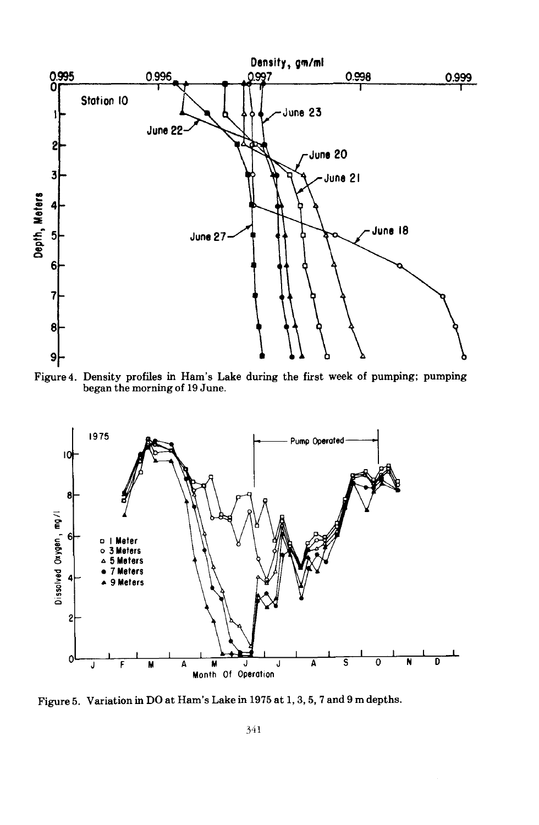

Figure 4. Density profiles in Ham's Lake during the first week of pumping; pumping began the morning of 19 June.



Figure 5. Variation in DO at Ham's Lake in 1975 at I, 3, 5, 7 and 9 m depths.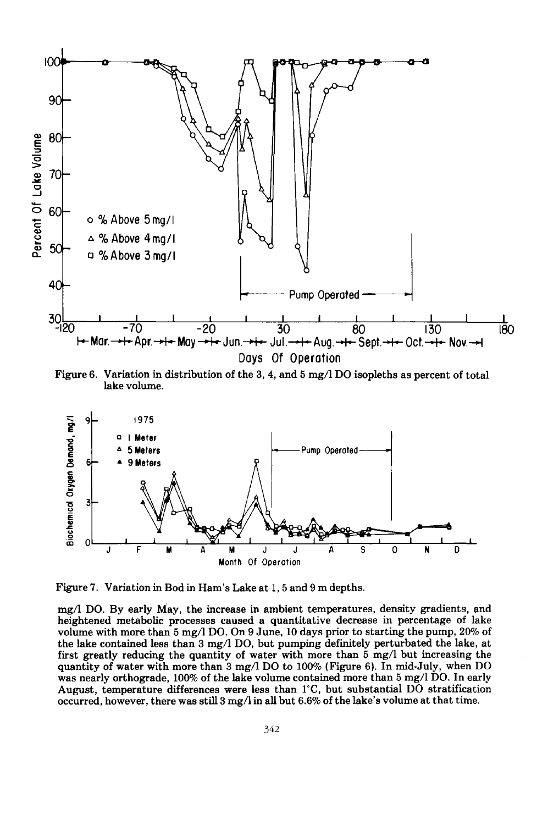

Figure 6. Variation in distribution of the 3, 4, and 5 mg/l DO isopleths as percent of total lake volume.



Figure 7. Variation in Bod in Ham's Lake at 1, 5 and 9 m depths.

mg/l DO. By early May, the increase in ambient temperatures, density gradients, and heightened metabolic processes caused a quantitative decrease in percentage of lake volume with more than 5 mg/l DO. On 9 June, 10 days prior to starting the pump, 20% of the lake contained less than 3 mg/l DO, but pumping definitely perturbated the lake, at first greatly reducing the quantity of water with more than 5 mg/l but increasing the quantity of water with more than 3 mg/l DO to 100% (Figure 6). In mid·July, when DO was nearly orthograde, 100% of the lake volume contained more than 5 mg/l DO. In early August, temperature differences were less than  $1^{\circ}$ C, but substantial DO stratification occurred, however, there was still 3 mg/lin all but 6.6% of the lake's volume at that time.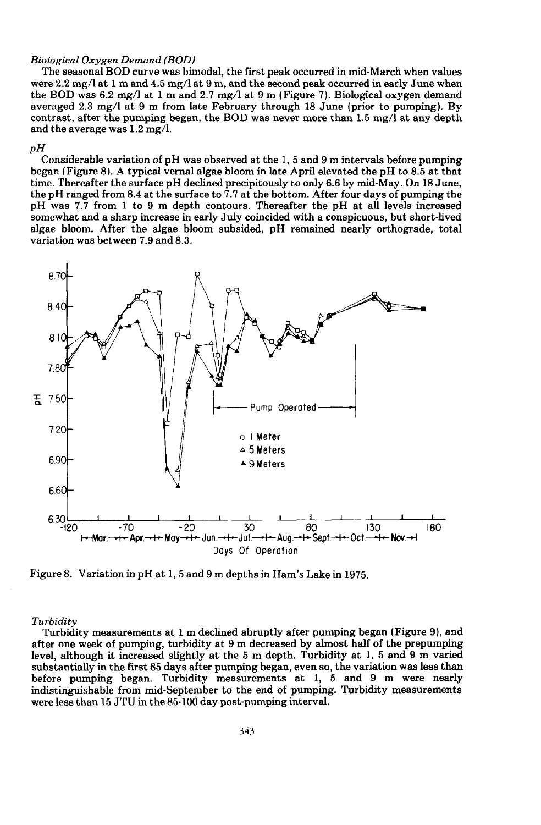#### *Biological Oxygen Demand (BOD)*

The seasonal BOD curve was bimodal, the first peak occurred in mid-March when values were  $2.2 \text{ mg/l at 1 m and } 4.5 \text{ mg/l at 9 m, and the second peak occurred in early June when}$ the BOD was 6.2 mg/l at 1 m and 2.7 mg/l at 9 m (Figure 7). Biological oxygen demand averaged 2.3 mg/l at 9 m from late February through 18 June (prior to pumping). By contrast, after the pumping began, the BOD was never more than  $1.5 \text{ mg}/\text{l}$  at any depth and the average was  $1.2 \,\mathrm{mg/l}$ .

# *pH*

Considerable variation of pH was observed at the 1, 5 and 9 m intervals before pumping began (Figure 8). A typical vernal algae bloom in late April elevated the pH to 8.5 at that time. Thereafter the surface pH declined precipitously to only 6.6 by mid-May. On 18 June, the pH ranged from 8.4 at the surface to  $7.7$  at the bottom. After four days of pumping the pH was 7.7 from 1 to 9 m depth contours. Thereafter the pH at all levels increased somewhat and a sharp increase in early July coincided with a conspicuous, but short-lived algae bloom. After the algae bloom subsided, pH remained nearly orthograde, total variation was between 7.9 and 8.3.



Figure 8. Variation in pH at 1, 5 and 9 m depths in Ham's Lake in 1975.

### *Turbidity*

Turbidity measurements at 1 m declined abruptly after pumping began (Figure 9), and after one week of pumping, turbidity at 9 m decreased by almost half of the prepumping level, although it increased slightly at the 5 m depth. Turbidity at 1, 5 and 9 m varied substantially in the first 85 days after pumping began, even so, the variation was less than before pumping began. Turbidity measurements at 1, 5 and 9 m were nearly indistinguishable from mid-September to the end of pumping. Turbidity measurements were less than 15 JTU in the 85-100 day post-pumping interval.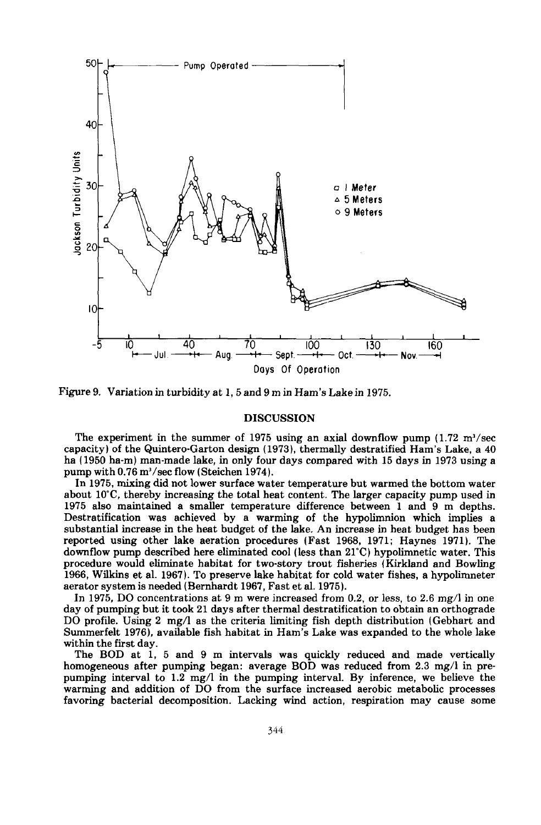



### **DISCUSSION**

The experiment in the summer of 1975 using an axial downflow pump  $(1.72 \text{ m}^3/\text{sec}$ capacity) of the Quintero-Garton design (1973), thermally destratified Ham's Lake, a 40 ha (1950 ha-m) man-made lake, in only four days compared with 15 days in 1973 using a pump with 0.76 m<sup>3</sup>/sec flow (Steichen 1974).

In 1975, mixing did not lower surface water temperature but warmed the bottom water about  $10^{\circ}$ C, thereby increasing the total heat content. The larger capacity pump used in 1975 also maintained a smaller temperature difference between 1 and 9 m depths. Destratification was achieved by a warming of the hypolimnion which implies a substantial increase in the heat budget of the lake. An increase in heat budget has been reported using other lake aeration procedures (Fast 1968, 1971; Haynes 1971). The downflow pump described here eliminated cool (less than 21°C) hypolimnetic water. This procedure would eliminate habitat for two-story trout fisheries (Kirkland and Bowling 1966, Wilkins et al. 1967). To preserve lake habitat for cold water fishes, a hypolimneter aerator system is needed (Bernhardt 1967, Fast et al. 1975).

In 1975, DO concentrations at 9 m were increased from 0.2, or less, to 2.6 mg/l in one day of pumping but it took 21 days after thermal destratification to obtain an orthograde DO profile. Using 2 mg/l as the criteria limiting fish depth distribution (Gebhart and Summerfelt 1976), available fish habitat in Ham's Lake was expanded to the whole lake within the first day.

The BOD at I, 5 and 9 m intervals was quickly reduced and made vertically homogeneous after pumping began: average BOD was reduced from 2.3 mg/l in prepumping interval to 1.2 mg/l in the pumping interval. By inference, we believe the warming and addition of DO from the surface increased aerobic metabolic processes favoring bacterial decomposition. Lacking wind action, respiration may cause some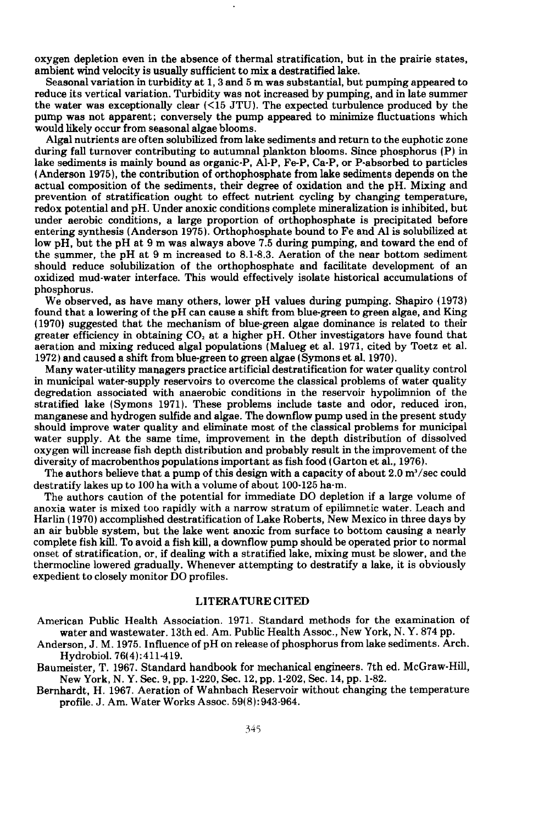oxygen depletion even in the absence of thermal stratification, but in the prairie states, ambient wind velocity is usually sufficient to mix a destratified lake.

Seasonal variation in turbidity at 1, 3 and 5 m was substantial, but pumping appeared to reduce its vertical variation. Turbidity was not increased by pumping, and in late summer the water was exceptionally clear  $(\leq 15 \text{ JTU})$ . The expected turbulence produced by the pump was not apparent; conversely the pump appeared to minimize fluctuations which would likely occur from seasonal algae blooms.

Algal nutrients are often solubilized from lake sediments and return to the euphotic zone during fall turnover contributing to autumnal plankton blooms. Since phosphorus (P) in lake sediments is mainly bound as organic-P, AI-P, Fe-P, Ca-P, or P-absorbed to particles (Anderson 1975), the contribution of orthophosphate from lake sediments depends on the actual composition of the sediments, their degree of oxidation and the pH. Mixing and prevention of stratification ought to effect nutrient cycling by changing temperature, redox potential and pH. Under anoxic conditions complete mineralization is inhibited, but under aerobic conditions, a large proportion of orthophosphate is precipitated before entering synthesis (Anderson 1975). Orthophosphate bound to Fe and Al is solubilized at low pH, but the pH at 9 m was always above 7.5 during pumping, and toward the end of the summer, the pH at 9 m increased to 8.1-8.3. Aeration of the near bottom sediment should reduce solubilization of the orthophosphate and facilitate development of an oxidized mud-water interface. This would effectively isolate historical accumulations of phosphorus.

We observed, as have many others, lower pH values during pumping. Shapiro (1973) found that a lowering of the pH can cause a shift from blue-green to green algae, and King (1970) suggested that the mechanism of blue-green algae dominance is related to their greater efficiency in obtaining  $CO<sub>1</sub>$  at a higher pH. Other investigators have found that aeration and mixing reduced algal populations (Malueg et al. 1971, cited by Toetz et al. 1972) and caused a shift from blue-green to green algae (Symons et al. 1970).

Many water-utility managers practice artificial destratification for water quality control in municipal water-supply reservoirs to overcome the classical problems of water quality degredation associated with anaerobic conditions in the reservoir hypolimnion of the stratified lake (Symons 1971). These problems include taste and odor, reduced iron, manganese and hydrogen sulfide and algae. The downflow pump used in the present study should improve water quality and eliminate most of the classical problems for municipal water supply. At the same time, improvement in the depth distribution of dissolved oxygen will increase fish depth distribution and probably result in the improvement of the diversity of macrobenthos populations important as fish food (Garton et al., 1976).

The authors believe that a pump of this design with a capacity of about  $2.0 \,\mathrm{m}^3/\mathrm{sec}$  could destratify lakes up to 100 ha with a volume of about 100-125 ha-m.

The authors caution of the potential for immediate DO depletion if a large volume of anoxia water is mixed too rapidly with a narrow stratum of epilimnetic water. Leach and Harlin (1970) accomplished destratification of Lake Roberts, New Mexico in three days by an air bubble system, but the lake went anoxic from surface to bottom causing a nearly complete fish kill. To avoid a fish kill, a downflow pump should be operated prior to normal onset of stratification, or. if dealing with a stratified lake, mixing must be slower, and the thermocline lowered gradually. Whenever attempting to destratify a lake, it is obviously expedient to closely monitor DO profiles.

### LITERATURE CITED

American Public Health Association. 1971. Standard methods for the examination of water and wastewater. 13th ed. Am. Public Health Assoc., New York, N. Y. 874 pp.

Anderson, J. M. 1975. Influence of pH on release of phosphorus from lake sediments. Arch. Hydrobiol. 76(4):411-419.

Baumeister, T. 1967. Standard handbook for mechanical engineers. 7th ed. McGraw-Hill, New York, N. Y. Sec. 9, pp.1-220, Sec. 12, pp. 1-202, Sec. 14, pp. 1-82.

Bernhardt, H. 1967. Aeration of Wahnbach Reservoir without changing the temperature profile. J. Am. Water Works Assoc. 59(8):943-964.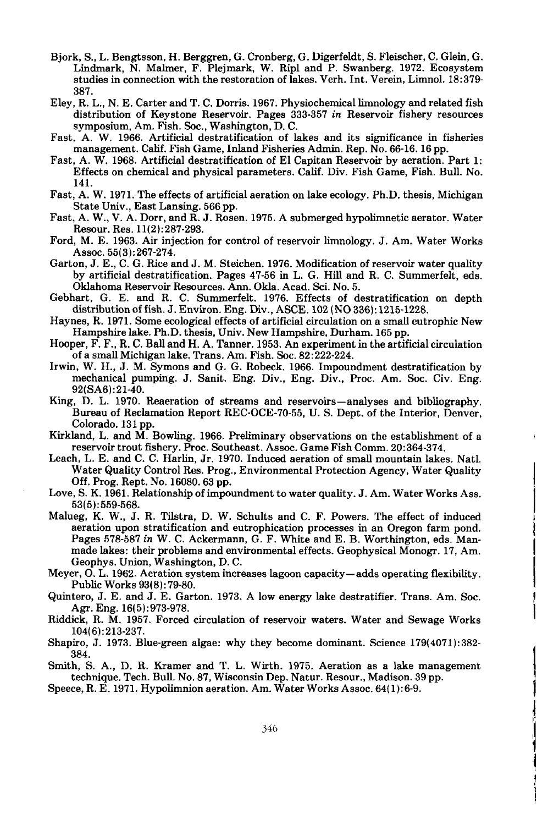- Bjork, S., L. Bengtsson, H. Berggren, G. Cronberg, G. Digerfeldt, S. Fleischer, C. Glein, G. Lindmark, N. Maimer, F. Plejmark, W. Ripl and P. Swanberg. 1972. Ecosystem studies in connection with the restoration of lakes. Verh. Int. Verein, Limnol. 18:379- 387.
- Eley, R. L., N. E. Carter and T. C. Dorris. 1967. Physiochemical limnology and related fish distribution of Keystone Reservoir. Pages 333-357 *in* Reservoir fishery resources symposium, Am. Fish. Soc., Washington, D. C.
- Fast, A. W. 1966. Artificial destratification of lakes and its significance in fisheries management. Calif. Fish Game, Inland Fisheries Admin. Rep. No. 66-16.16 pp.
- Fast, A. W. 1968. Artificial destratification of EI Capitan Reservoir by aeration. Part 1: Effects on chemical and physical parameters. Calif. Div. Fish Game, Fish. Bull. No. 141.
- Fast, A. W. 1971. The effects of artificial aeration on lake ecology. Ph.D. thesis, Michigan State Univ., East Lansing. 566 pp.
- Fast, A. W., V. A. Dorr, and R. J. Rosen. 1975. A submerged hypolimnetic aerator. Water Resour. Res. 11(2):287-293.
- Ford, M. E. 1963. Air injection for control of reservoir limnology. J. Am. Water Works Assoc. 55(3):267-274.
- Garton, J. E., C. G. Rice and J. M. Steichen. 1976. Modification of reservoir water quality by artificial destratification. Pages 47-56 in L. G. Hill and R. C. Summerfelt, eds. Oklahoma Reservoir Resources. Ann. Okla. Acad. Sci. No.5.
- Gebhart, G. E. and R. C. Summerfelt. 1976. Effects of destratification on depth distribution offish. J. Environ. Eng. Div., ASCE. 102 (NO 336): 1215-1228.
- Haynes, R. 1971. Some ecological effects of artificial circulation on a small eutrophic New Hampshire lake. Ph.D. thesis, Univ. New Hampshire, Durham. 165 pp.
- Hooper, F. F., R. C. Ball and H. A. Tanner. 1953. An experiment in the artificial circulation of a small Michigan lake. Trans. Am. Fish. Soc. 82: 222-224.
- Irwin, W. H., J. M. Symons and G. G. Robeck. 1966. Impoundment destratification by mechanical pumping. J. Sanit. Eng. Div., Eng. Div., Proc. Am. Soc. Civ. Eng. 92(SA6):21-40.
- King, D. L. 1970. Reaeration of streams and reservoirs-analyses and bibliography. Bureau of Reclamation Report REC-OCE-70-55, U. S. Dept. of the Interior, Denver, Colorado. 131 pp.
- Kirkland, L. and M. Bowling. 1966. Preliminary observations on the establishment of a reservoir trout fishery. Proc. Southeast. Assoc. Game Fish Comm. 20:364-374.
- Leach, L. E. and C. C. Harlin, Jr. 1970. Induced aeration of small mountain lakes. Natl. Water Quality Control Res. Prog., Environmental Protection Agency, Water Quality Off. Prog. Rept. No. 16080.63 pp.
- Love, S. K. 1961. Relationship of impoundment to water quality. J. Am. Water Works Ass. 53(5):559-568.
- Malueg, K. W., J. R. Tilstra, D. W. Schults and C. F. Powers. The effect of induced aeration upon stratification and eutrophication processes in an Oregon farm pond. Pages 578-587 *in* W. C. Ackermann, G. F. White and E. B. Worthington, eds. Manmade lakes: their problems and environmental effects. Geophysical Monogr. 17, Am. Geophys. Union, Washington, D. C.

Meyer, O. L. 1962. Aeration system increases lagoon capacity-adds operating flexibility. Public Works 93(8): 79-80.

- Quintero, J. E. and J. E. Garton. 1973. A low energy lake destratifier. Trans. Am. Soc. Agr. Eng. 16(5):973-978.
- Riddick, R. M. 1957. Forced circulation of reservoir waters. Water and Sewage Works 104(6):213-237.
- Shapiro, J. 1973. Blue-green algae: why they become dominant. Science 179(4071): 382- 384.
- Smith, S. A., D. R. Kramer and T. L. Wirth. 1975. Aeration as a lake management technique. Tech. Bull. No. 87, Wisconsin Dep. Natur. Resour., Madison. 39 pp.

Speece, R. E. 1971. Hypolimnion aeration. Am. Water Works Assoc. 64(1):6-9.